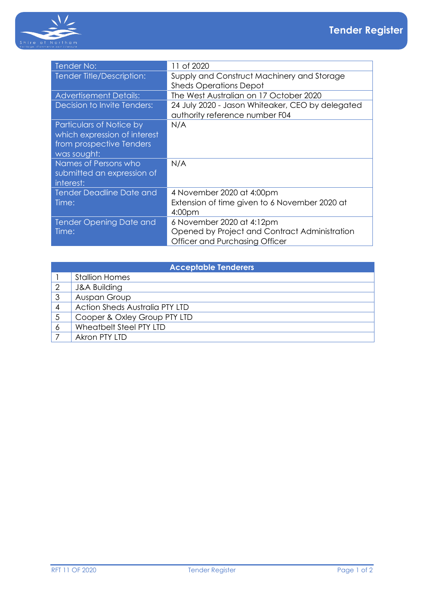

| Tender No:                      | 11 of 2020                                       |
|---------------------------------|--------------------------------------------------|
| Tender Title/Description:       | Supply and Construct Machinery and Storage       |
|                                 | <b>Sheds Operations Depot</b>                    |
| <b>Advertisement Details:</b>   | The West Australian on 17 October 2020           |
| Decision to Invite Tenders:     | 24 July 2020 - Jason Whiteaker, CEO by delegated |
|                                 | authority reference number F04                   |
| <b>Particulars of Notice by</b> | N/A                                              |
| which expression of interest    |                                                  |
| from prospective Tenders        |                                                  |
| was sought:                     |                                                  |
| Names of Persons who            | N/A                                              |
| submitted an expression of      |                                                  |
| interest:                       |                                                  |
| <b>Tender Deadline Date and</b> | 4 November 2020 at 4:00pm                        |
| Time:                           | Extension of time given to 6 November 2020 at    |
|                                 | 4:00pm                                           |
| <b>Tender Opening Date and</b>  | 6 November 2020 at 4:12pm                        |
| Time:                           | Opened by Project and Contract Administration    |
|                                 | Officer and Purchasing Officer                   |

| <b>Acceptable Tenderers</b> |                                       |  |
|-----------------------------|---------------------------------------|--|
|                             | <b>Stallion Homes</b>                 |  |
|                             | <b>J&amp;A Building</b>               |  |
| 3                           | Auspan Group                          |  |
| 4                           | <b>Action Sheds Australia PTY LTD</b> |  |
|                             | Cooper & Oxley Group PTY LTD          |  |
| 6                           | Wheatbelt Steel PTY LTD               |  |
|                             | Akron PTY LTD                         |  |